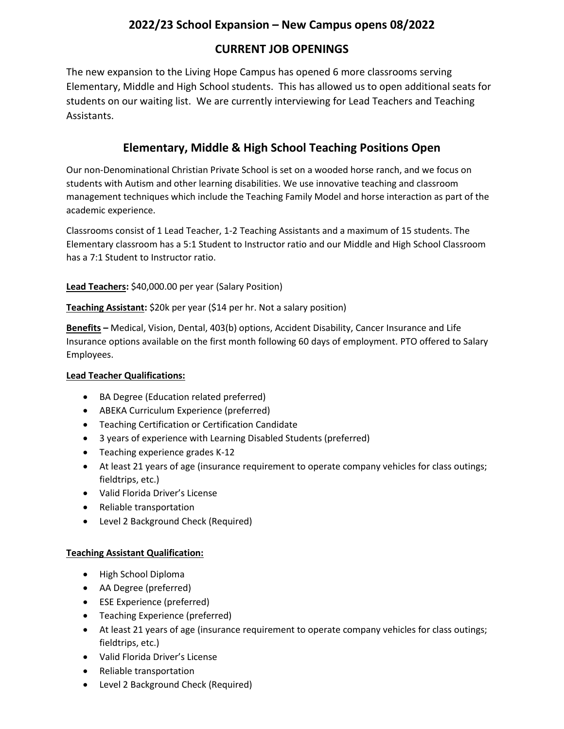## **2022/23 School Expansion – New Campus opens 08/2022**

### **CURRENT JOB OPENINGS**

The new expansion to the Living Hope Campus has opened 6 more classrooms serving Elementary, Middle and High School students. This has allowed us to open additional seats for students on our waiting list. We are currently interviewing for Lead Teachers and Teaching Assistants.

# **Elementary, Middle & High School Teaching Positions Open**

Our non-Denominational Christian Private School is set on a wooded horse ranch, and we focus on students with Autism and other learning disabilities. We use innovative teaching and classroom management techniques which include the Teaching Family Model and horse interaction as part of the academic experience.

Classrooms consist of 1 Lead Teacher, 1-2 Teaching Assistants and a maximum of 15 students. The Elementary classroom has a 5:1 Student to Instructor ratio and our Middle and High School Classroom has a 7:1 Student to Instructor ratio.

**Lead Teachers:** \$40,000.00 per year (Salary Position)

**Teaching Assistant:** \$20k per year (\$14 per hr. Not a salary position)

**Benefits –** Medical, Vision, Dental, 403(b) options, Accident Disability, Cancer Insurance and Life Insurance options available on the first month following 60 days of employment. PTO offered to Salary Employees.

#### **Lead Teacher Qualifications:**

- BA Degree (Education related preferred)
- ABEKA Curriculum Experience (preferred)
- Teaching Certification or Certification Candidate
- 3 years of experience with Learning Disabled Students (preferred)
- Teaching experience grades K-12
- At least 21 years of age (insurance requirement to operate company vehicles for class outings; fieldtrips, etc.)
- Valid Florida Driver's License
- Reliable transportation
- Level 2 Background Check (Required)

#### **Teaching Assistant Qualification:**

- High School Diploma
- AA Degree (preferred)
- ESE Experience (preferred)
- Teaching Experience (preferred)
- At least 21 years of age (insurance requirement to operate company vehicles for class outings; fieldtrips, etc.)
- Valid Florida Driver's License
- Reliable transportation
- Level 2 Background Check (Required)